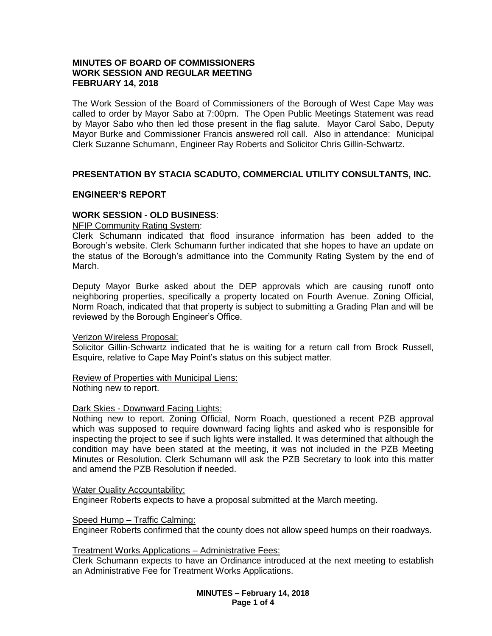# **MINUTES OF BOARD OF COMMISSIONERS WORK SESSION AND REGULAR MEETING FEBRUARY 14, 2018**

The Work Session of the Board of Commissioners of the Borough of West Cape May was called to order by Mayor Sabo at 7:00pm. The Open Public Meetings Statement was read by Mayor Sabo who then led those present in the flag salute. Mayor Carol Sabo, Deputy Mayor Burke and Commissioner Francis answered roll call. Also in attendance: Municipal Clerk Suzanne Schumann, Engineer Ray Roberts and Solicitor Chris Gillin-Schwartz.

# **PRESENTATION BY STACIA SCADUTO, COMMERCIAL UTILITY CONSULTANTS, INC.**

## **ENGINEER'S REPORT**

### **WORK SESSION - OLD BUSINESS**:

NFIP Community Rating System:

Clerk Schumann indicated that flood insurance information has been added to the Borough's website. Clerk Schumann further indicated that she hopes to have an update on the status of the Borough's admittance into the Community Rating System by the end of March.

Deputy Mayor Burke asked about the DEP approvals which are causing runoff onto neighboring properties, specifically a property located on Fourth Avenue. Zoning Official, Norm Roach, indicated that that property is subject to submitting a Grading Plan and will be reviewed by the Borough Engineer's Office.

#### Verizon Wireless Proposal:

Solicitor Gillin-Schwartz indicated that he is waiting for a return call from Brock Russell, Esquire, relative to Cape May Point's status on this subject matter.

# Review of Properties with Municipal Liens:

Nothing new to report.

### Dark Skies - Downward Facing Lights:

Nothing new to report. Zoning Official, Norm Roach, questioned a recent PZB approval which was supposed to require downward facing lights and asked who is responsible for inspecting the project to see if such lights were installed. It was determined that although the condition may have been stated at the meeting, it was not included in the PZB Meeting Minutes or Resolution. Clerk Schumann will ask the PZB Secretary to look into this matter and amend the PZB Resolution if needed.

#### Water Quality Accountability:

Engineer Roberts expects to have a proposal submitted at the March meeting.

### Speed Hump – Traffic Calming:

Engineer Roberts confirmed that the county does not allow speed humps on their roadways.

#### Treatment Works Applications – Administrative Fees:

Clerk Schumann expects to have an Ordinance introduced at the next meeting to establish an Administrative Fee for Treatment Works Applications.

> **MINUTES – February 14, 2018 Page 1 of 4**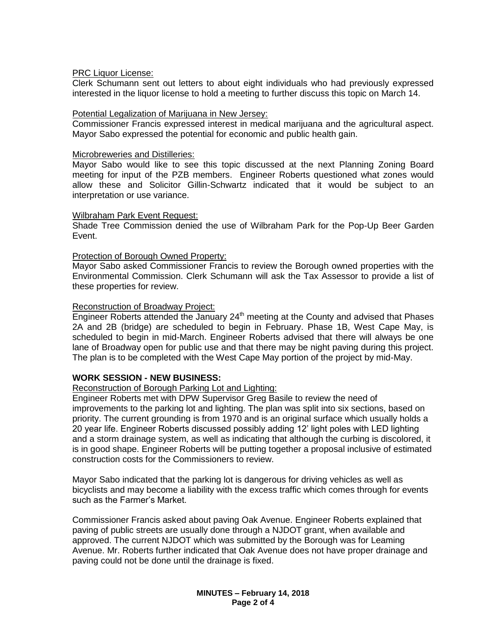## PRC Liquor License:

Clerk Schumann sent out letters to about eight individuals who had previously expressed interested in the liquor license to hold a meeting to further discuss this topic on March 14.

# Potential Legalization of Marijuana in New Jersey:

Commissioner Francis expressed interest in medical marijuana and the agricultural aspect. Mayor Sabo expressed the potential for economic and public health gain.

## Microbreweries and Distilleries:

Mayor Sabo would like to see this topic discussed at the next Planning Zoning Board meeting for input of the PZB members. Engineer Roberts questioned what zones would allow these and Solicitor Gillin-Schwartz indicated that it would be subject to an interpretation or use variance.

# Wilbraham Park Event Request:

Shade Tree Commission denied the use of Wilbraham Park for the Pop-Up Beer Garden Event.

# Protection of Borough Owned Property:

Mayor Sabo asked Commissioner Francis to review the Borough owned properties with the Environmental Commission. Clerk Schumann will ask the Tax Assessor to provide a list of these properties for review.

# Reconstruction of Broadway Project:

Engineer Roberts attended the January  $24<sup>th</sup>$  meeting at the County and advised that Phases 2A and 2B (bridge) are scheduled to begin in February. Phase 1B, West Cape May, is scheduled to begin in mid-March. Engineer Roberts advised that there will always be one lane of Broadway open for public use and that there may be night paving during this project. The plan is to be completed with the West Cape May portion of the project by mid-May.

# **WORK SESSION - NEW BUSINESS:**

# Reconstruction of Borough Parking Lot and Lighting:

Engineer Roberts met with DPW Supervisor Greg Basile to review the need of improvements to the parking lot and lighting. The plan was split into six sections, based on priority. The current grounding is from 1970 and is an original surface which usually holds a 20 year life. Engineer Roberts discussed possibly adding 12' light poles with LED lighting and a storm drainage system, as well as indicating that although the curbing is discolored, it is in good shape. Engineer Roberts will be putting together a proposal inclusive of estimated construction costs for the Commissioners to review.

Mayor Sabo indicated that the parking lot is dangerous for driving vehicles as well as bicyclists and may become a liability with the excess traffic which comes through for events such as the Farmer's Market.

Commissioner Francis asked about paving Oak Avenue. Engineer Roberts explained that paving of public streets are usually done through a NJDOT grant, when available and approved. The current NJDOT which was submitted by the Borough was for Leaming Avenue. Mr. Roberts further indicated that Oak Avenue does not have proper drainage and paving could not be done until the drainage is fixed.

> **MINUTES – February 14, 2018 Page 2 of 4**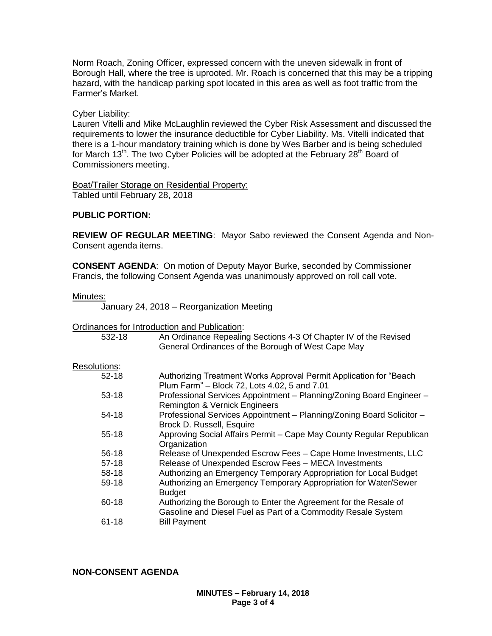Norm Roach, Zoning Officer, expressed concern with the uneven sidewalk in front of Borough Hall, where the tree is uprooted. Mr. Roach is concerned that this may be a tripping hazard, with the handicap parking spot located in this area as well as foot traffic from the Farmer's Market.

# Cyber Liability:

Lauren Vitelli and Mike McLaughlin reviewed the Cyber Risk Assessment and discussed the requirements to lower the insurance deductible for Cyber Liability. Ms. Vitelli indicated that there is a 1-hour mandatory training which is done by Wes Barber and is being scheduled for March 13<sup>th</sup>. The two Cyber Policies will be adopted at the February 28<sup>th</sup> Board of Commissioners meeting.

Boat/Trailer Storage on Residential Property: Tabled until February 28, 2018

# **PUBLIC PORTION:**

**REVIEW OF REGULAR MEETING**: Mayor Sabo reviewed the Consent Agenda and Non-Consent agenda items.

**CONSENT AGENDA**: On motion of Deputy Mayor Burke, seconded by Commissioner Francis, the following Consent Agenda was unanimously approved on roll call vote.

Minutes:

January 24, 2018 – Reorganization Meeting

Ordinances for Introduction and Publication:

| 532-18       | An Ordinance Repealing Sections 4-3 Of Chapter IV of the Revised<br>General Ordinances of the Borough of West Cape May            |
|--------------|-----------------------------------------------------------------------------------------------------------------------------------|
| Resolutions: |                                                                                                                                   |
| $52 - 18$    | Authorizing Treatment Works Approval Permit Application for "Beach"<br>Plum Farm" - Block 72, Lots 4.02, 5 and 7.01               |
| $53 - 18$    | Professional Services Appointment - Planning/Zoning Board Engineer -<br>Remington & Vernick Engineers                             |
| $54-18$      | Professional Services Appointment - Planning/Zoning Board Solicitor -<br>Brock D. Russell, Esquire                                |
| $55 - 18$    | Approving Social Affairs Permit - Cape May County Regular Republican<br>Organization                                              |
| 56-18        | Release of Unexpended Escrow Fees - Cape Home Investments, LLC                                                                    |
| $57-18$      | Release of Unexpended Escrow Fees - MECA Investments                                                                              |
| 58-18        | Authorizing an Emergency Temporary Appropriation for Local Budget                                                                 |
| 59-18        | Authorizing an Emergency Temporary Appropriation for Water/Sewer<br><b>Budget</b>                                                 |
| 60-18        | Authorizing the Borough to Enter the Agreement for the Resale of<br>Gasoline and Diesel Fuel as Part of a Commodity Resale System |
| $61 - 18$    | <b>Bill Payment</b>                                                                                                               |

**NON-CONSENT AGENDA**